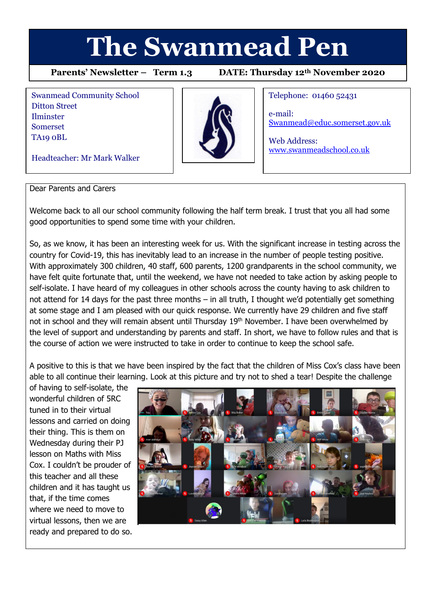# **The Swanmead Pen**

**Parents' Newsletter – Term 1.3 DATE: Thursday 12th November 2020**

Swanmead Community School Ditton Street Ilminster Somerset TA19 0BL

Headteacher: Mr Mark Walker



Telephone: 01460 52431

e-mail: [Swanmead@educ.somerset.gov.uk](mailto:Swanmead@educ.somerset.gov.uk)

Web Address: [www.swanmeadschool.co.uk](http://www.swanmeadschool.co.uk/)

#### Dear Parents and Carers

Welcome back to all our school community following the half term break. I trust that you all had some good opportunities to spend some time with your children.

So, as we know, it has been an interesting week for us. With the significant increase in testing across the country for Covid-19, this has inevitably lead to an increase in the number of people testing positive. With approximately 300 children, 40 staff, 600 parents, 1200 grandparents in the school community, we have felt quite fortunate that, until the weekend, we have not needed to take action by asking people to self-isolate. I have heard of my colleagues in other schools across the county having to ask children to not attend for 14 days for the past three months – in all truth, I thought we'd potentially get something at some stage and I am pleased with our quick response. We currently have 29 children and five staff not in school and they will remain absent until Thursday 19<sup>th</sup> November. I have been overwhelmed by the level of support and understanding by parents and staff. In short, we have to follow rules and that is the course of action we were instructed to take in order to continue to keep the school safe.

A positive to this is that we have been inspired by the fact that the children of Miss Cox's class have been able to all continue their learning. Look at this picture and try not to shed a tear! Despite the challenge

of having to self-isolate, the wonderful children of 5RC tuned in to their virtual lessons and carried on doing their thing. This is them on Wednesday during their PJ lesson on Maths with Miss Cox. I couldn't be prouder of this teacher and all these children and it has taught us that, if the time comes where we need to move to virtual lessons, then we are ready and prepared to do so.

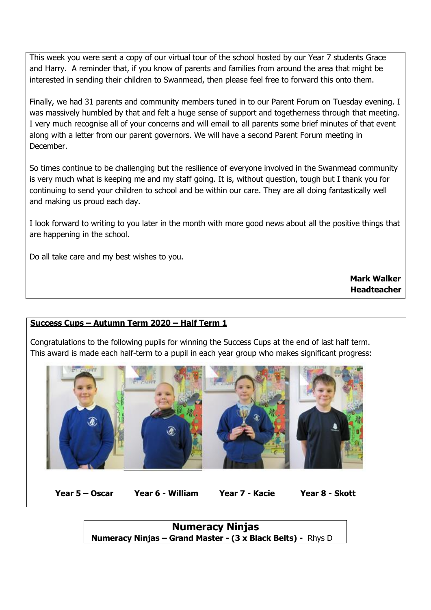This week you were sent a copy of our virtual tour of the school hosted by our Year 7 students Grace and Harry. A reminder that, if you know of parents and families from around the area that might be interested in sending their children to Swanmead, then please feel free to forward this onto them.

Finally, we had 31 parents and community members tuned in to our Parent Forum on Tuesday evening. I was massively humbled by that and felt a huge sense of support and togetherness through that meeting. I very much recognise all of your concerns and will email to all parents some brief minutes of that event along with a letter from our parent governors. We will have a second Parent Forum meeting in December.

So times continue to be challenging but the resilience of everyone involved in the Swanmead community is very much what is keeping me and my staff going. It is, without question, tough but I thank you for continuing to send your children to school and be within our care. They are all doing fantastically well and making us proud each day.

I look forward to writing to you later in the month with more good news about all the positive things that are happening in the school.

Do all take care and my best wishes to you.

**Mark Walker Headteacher**

## **Success Cups – Autumn Term 2020 – Half Term 1**

Congratulations to the following pupils for winning the Success Cups at the end of last half term. This award is made each half-term to a pupil in each year group who makes significant progress:



**Year 5 – Oscar Year 6 - William Year 7 - Kacie Year 8 - Skott**

**Numeracy Ninjas Numeracy Ninjas – Grand Master - (3 x Black Belts) -** Rhys D